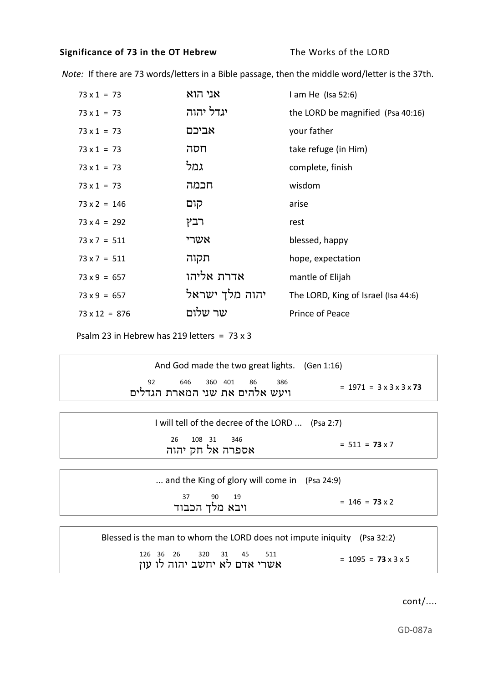## **Significance of 73 in the OT Hebrew** The Works of the LORD

 *Note:* If there are 73 words/letters in a Bible passage, then the middle word/letter is the 37th.

| $73 \times 1 = 73$   | אני הוא        | $l$ am He (Isa 52:6)                |
|----------------------|----------------|-------------------------------------|
| $73 \times 1 = 73$   | יגדל יהוה      | the LORD be magnified (Psa 40:16)   |
| $73 \times 1 = 73$   | אביכם          | your father                         |
| $73 \times 1 = 73$   | חסה            | take refuge (in Him)                |
| $73 \times 1 = 73$   | גמל            | complete, finish                    |
| $73 \times 1 = 73$   | חכמה           | wisdom                              |
| $73 \times 2 = 146$  | קום            | arise                               |
| $73 \times 4 = 292$  | רבץ            | rest                                |
| $73 \times 7 = 511$  | אשרי           | blessed, happy                      |
| $73 \times 7 = 511$  | תקוה           | hope, expectation                   |
| $73 \times 9 = 657$  | אדרת אליהו     | mantle of Elijah                    |
| $73 \times 9 = 657$  | יהוה מלך ישראל | The LORD, King of Israel (Isa 44:6) |
| $73 \times 12 = 876$ | שר שלום        | Prince of Peace                     |

Psalm 23 in Hebrew has 219 letters = 73 x 3

| And God made the two great lights. (Gen 1:16)                      |                                          |
|--------------------------------------------------------------------|------------------------------------------|
| <sup>92</sup> 646 560 401 86 386<br>ויעש אלהים את שני המארת הגדלים | $= 1971 = 3 \times 3 \times 3 \times 73$ |
| I will tell of the decree of the LORD  (Psa 2:7)                   |                                          |
| 26 108 31 346<br>אספרה אל חק יהוה                                  | $= 511 = 73 \times 7$                    |
|                                                                    |                                          |
| and the King of glory will come in (Psa 24:9)                      |                                          |
| 37 90 19<br>ויבא מלך הכבוד                                         | $= 146 = 73 \times 2$                    |
|                                                                    |                                          |

Blessed is the man to whom the LORD does not impute iniquity (Psa 32:2) 126 36 26 320 31 45 511  $= 1095 = 73 \times 3 \times 5$ <sup>=</sup>אשרי אדם לא יחשב יהוה לו עון

cont/....